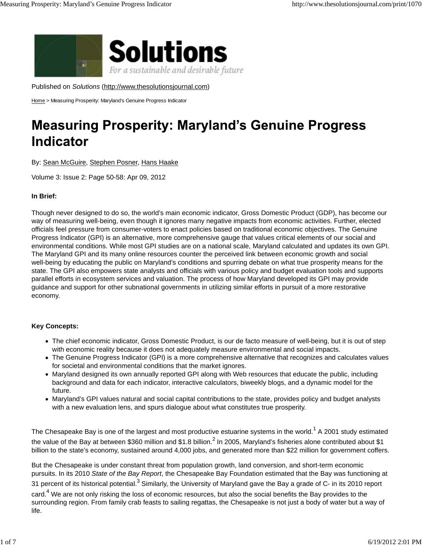

Published on *Solutions* (http://www.thesolutionsjournal.com)

Home > Measuring Prosperity: Maryland's Genuine Progress Indicator

# **Measuring Prosperity: Maryland's Genuine Progress Indicator**

By: Sean McGuire, Stephen Posner, Hans Haake

Volume 3: Issue 2: Page 50-58: Apr 09, 2012

## **In Brief:**

Though never designed to do so, the world's main economic indicator, Gross Domestic Product (GDP), has become our way of measuring well-being, even though it ignores many negative impacts from economic activities. Further, elected officials feel pressure from consumer-voters to enact policies based on traditional economic objectives. The Genuine Progress Indicator (GPI) is an alternative, more comprehensive gauge that values critical elements of our social and environmental conditions. While most GPI studies are on a national scale, Maryland calculated and updates its own GPI. The Maryland GPI and its many online resources counter the perceived link between economic growth and social well-being by educating the public on Maryland's conditions and spurring debate on what true prosperity means for the state. The GPI also empowers state analysts and officials with various policy and budget evaluation tools and supports parallel efforts in ecosystem services and valuation. The process of how Maryland developed its GPI may provide guidance and support for other subnational governments in utilizing similar efforts in pursuit of a more restorative economy.

#### **Key Concepts:**

- The chief economic indicator, Gross Domestic Product, is our de facto measure of well-being, but it is out of step with economic reality because it does not adequately measure environmental and social impacts.
- The Genuine Progress Indicator (GPI) is a more comprehensive alternative that recognizes and calculates values for societal and environmental conditions that the market ignores.
- Maryland designed its own annually reported GPI along with Web resources that educate the public, including background and data for each indicator, interactive calculators, biweekly blogs, and a dynamic model for the future.
- Maryland's GPI values natural and social capital contributions to the state, provides policy and budget analysts with a new evaluation lens, and spurs dialogue about what constitutes true prosperity.

The Chesapeake Bay is one of the largest and most productive estuarine systems in the world.<sup>1</sup> A 2001 study estimated the value of the Bay at between \$360 million and \$1.8 billion.<sup>2</sup> In 2005, Maryland's fisheries alone contributed about \$1 billion to the state's economy, sustained around 4,000 jobs, and generated more than \$22 million for government coffers.

But the Chesapeake is under constant threat from population growth, land conversion, and short-term economic pursuits. In its 2010 *State of the Bay Report*, the Chesapeake Bay Foundation estimated that the Bay was functioning at 31 percent of its historical potential.<sup>3</sup> Similarly, the University of Maryland gave the Bay a grade of C- in its 2010 report card.<sup>4</sup> We are not only risking the loss of economic resources, but also the social benefits the Bay provides to the surrounding region. From family crab feasts to sailing regattas, the Chesapeake is not just a body of water but a way of life.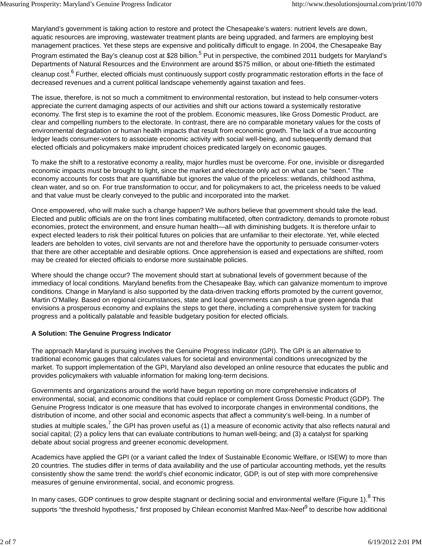Maryland's government is taking action to restore and protect the Chesapeake's waters: nutrient levels are down, aquatic resources are improving, wastewater treatment plants are being upgraded, and farmers are employing best management practices. Yet these steps are expensive and politically difficult to engage. In 2004, the Chesapeake Bay Program estimated the Bay's cleanup cost at \$28 billion.<sup>5</sup> Put in perspective, the combined 2011 budgets for Maryland's Departments of Natural Resources and the Environment are around \$575 million, or about one-fiftieth the estimated cleanup cost.<sup>6</sup> Further, elected officials must continuously support costly programmatic restoration efforts in the face of decreased revenues and a current political landscape vehemently against taxation and fees.

The issue, therefore, is not so much a commitment to environmental restoration, but instead to help consumer-voters appreciate the current damaging aspects of our activities and shift our actions toward a systemically restorative economy. The first step is to examine the root of the problem. Economic measures, like Gross Domestic Product, are clear and compelling numbers to the electorate. In contrast, there are no comparable monetary values for the costs of environmental degradation or human health impacts that result from economic growth. The lack of a true accounting ledger leads consumer-voters to associate economic activity with social well-being, and subsequently demand that elected officials and policymakers make imprudent choices predicated largely on economic gauges.

To make the shift to a restorative economy a reality, major hurdles must be overcome. For one, invisible or disregarded economic impacts must be brought to light, since the market and electorate only act on what can be "seen." The economy accounts for costs that are quantifiable but ignores the value of the priceless: wetlands, childhood asthma, clean water, and so on. For true transformation to occur, and for policymakers to act, the priceless needs to be valued and that value must be clearly conveyed to the public and incorporated into the market.

Once empowered, who will make such a change happen? We authors believe that government should take the lead. Elected and public officials are on the front lines combating multifaceted, often contradictory, demands to promote robust economies, protect the environment, and ensure human health—all with diminishing budgets. It is therefore unfair to expect elected leaders to risk their political futures on policies that are unfamiliar to their electorate. Yet, while elected leaders are beholden to votes, civil servants are not and therefore have the opportunity to persuade consumer-voters that there are other acceptable and desirable options. Once apprehension is eased and expectations are shifted, room may be created for elected officials to endorse more sustainable policies.

Where should the change occur? The movement should start at subnational levels of government because of the immediacy of local conditions. Maryland benefits from the Chesapeake Bay, which can galvanize momentum to improve conditions. Change in Maryland is also supported by the data-driven tracking efforts promoted by the current governor, Martin O'Malley. Based on regional circumstances, state and local governments can push a true green agenda that envisions a prosperous economy and explains the steps to get there, including a comprehensive system for tracking progress and a politically palatable and feasible budgetary position for elected officials.

# **A Solution: The Genuine Progress Indicator**

The approach Maryland is pursuing involves the Genuine Progress Indicator (GPI). The GPI is an alternative to traditional economic gauges that calculates values for societal and environmental conditions unrecognized by the market. To support implementation of the GPI, Maryland also developed an online resource that educates the public and provides policymakers with valuable information for making long-term decisions.

Governments and organizations around the world have begun reporting on more comprehensive indicators of environmental, social, and economic conditions that could replace or complement Gross Domestic Product (GDP). The Genuine Progress Indicator is one measure that has evolved to incorporate changes in environmental conditions, the distribution of income, and other social and economic aspects that affect a community's well-being. In a number of studies at multiple scales,<sup>7</sup> the GPI has proven useful as (1) a measure of economic activity that also reflects natural and social capital; (2) a policy lens that can evaluate contributions to human well-being; and (3) a catalyst for sparking debate about social progress and greener economic development.

Academics have applied the GPI (or a variant called the Index of Sustainable Economic Welfare, or ISEW) to more than 20 countries. The studies differ in terms of data availability and the use of particular accounting methods, yet the results consistently show the same trend: the world's chief economic indicator, GDP, is out of step with more comprehensive measures of genuine environmental, social, and economic progress.

In many cases, GDP continues to grow despite stagnant or declining social and environmental welfare (Figure 1).<sup>8</sup> This supports "the threshold hypothesis," first proposed by Chilean economist Manfred Max-Neef<sup>9</sup> to describe how additional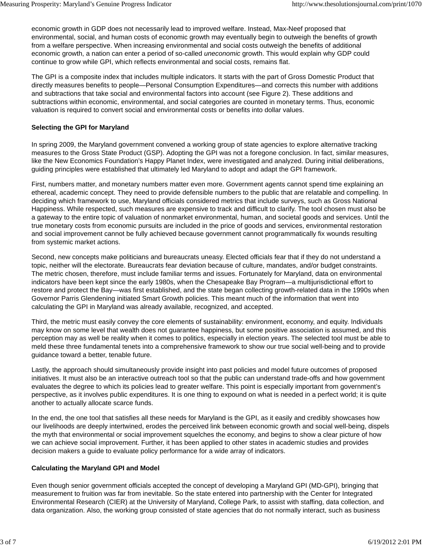economic growth in GDP does not necessarily lead to improved welfare. Instead, Max-Neef proposed that environmental, social, and human costs of economic growth may eventually begin to outweigh the benefits of growth from a welfare perspective. When increasing environmental and social costs outweigh the benefits of additional economic growth, a nation can enter a period of so-called *uneconomic* growth. This would explain why GDP could continue to grow while GPI, which reflects environmental and social costs, remains flat.

The GPI is a composite index that includes multiple indicators. It starts with the part of Gross Domestic Product that directly measures benefits to people—Personal Consumption Expenditures—and corrects this number with additions and subtractions that take social and environmental factors into account (see Figure 2). These additions and subtractions within economic, environmental, and social categories are counted in monetary terms. Thus, economic valuation is required to convert social and environmental costs or benefits into dollar values.

#### **Selecting the GPI for Maryland**

In spring 2009, the Maryland government convened a working group of state agencies to explore alternative tracking measures to the Gross State Product (GSP). Adopting the GPI was not a foregone conclusion. In fact, similar measures, like the New Economics Foundation's Happy Planet Index, were investigated and analyzed. During initial deliberations, guiding principles were established that ultimately led Maryland to adopt and adapt the GPI framework.

First, numbers matter, and monetary numbers matter even more. Government agents cannot spend time explaining an ethereal, academic concept. They need to provide defensible numbers to the public that are relatable and compelling. In deciding which framework to use, Maryland officials considered metrics that include surveys, such as Gross National Happiness. While respected, such measures are expensive to track and difficult to clarify. The tool chosen must also be a gateway to the entire topic of valuation of nonmarket environmental, human, and societal goods and services. Until the true monetary costs from economic pursuits are included in the price of goods and services, environmental restoration and social improvement cannot be fully achieved because government cannot programmatically fix wounds resulting from systemic market actions.

Second, new concepts make politicians and bureaucrats uneasy. Elected officials fear that if they do not understand a topic, neither will the electorate. Bureaucrats fear deviation because of culture, mandates, and/or budget constraints. The metric chosen, therefore, must include familiar terms and issues. Fortunately for Maryland, data on environmental indicators have been kept since the early 1980s, when the Chesapeake Bay Program—a multijurisdictional effort to restore and protect the Bay—was first established, and the state began collecting growth-related data in the 1990s when Governor Parris Glendening initiated Smart Growth policies. This meant much of the information that went into calculating the GPI in Maryland was already available, recognized, and accepted.

Third, the metric must easily convey the core elements of sustainability: environment, economy, and equity. Individuals may know on some level that wealth does not guarantee happiness, but some positive association is assumed, and this perception may as well be reality when it comes to politics, especially in election years. The selected tool must be able to meld these three fundamental tenets into a comprehensive framework to show our true social well-being and to provide guidance toward a better, tenable future.

Lastly, the approach should simultaneously provide insight into past policies and model future outcomes of proposed initiatives. It must also be an interactive outreach tool so that the public can understand trade-offs and how government evaluates the degree to which its policies lead to greater welfare. This point is especially important from government's perspective, as it involves public expenditures. It is one thing to expound on what is needed in a perfect world; it is quite another to actually allocate scarce funds.

In the end, the one tool that satisfies all these needs for Maryland is the GPI, as it easily and credibly showcases how our livelihoods are deeply intertwined, erodes the perceived link between economic growth and social well-being, dispels the myth that environmental or social improvement squelches the economy, and begins to show a clear picture of how we can achieve social improvement. Further, it has been applied to other states in academic studies and provides decision makers a guide to evaluate policy performance for a wide array of indicators.

#### **Calculating the Maryland GPI and Model**

Even though senior government officials accepted the concept of developing a Maryland GPI (MD-GPI), bringing that measurement to fruition was far from inevitable. So the state entered into partnership with the Center for Integrated Environmental Research (CIER) at the University of Maryland, College Park, to assist with staffing, data collection, and data organization. Also, the working group consisted of state agencies that do not normally interact, such as business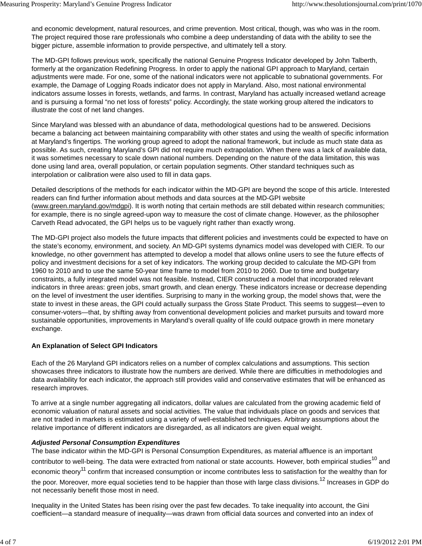and economic development, natural resources, and crime prevention. Most critical, though, was who was in the room. The project required those rare professionals who combine a deep understanding of data with the ability to see the bigger picture, assemble information to provide perspective, and ultimately tell a story.

The MD-GPI follows previous work, specifically the national Genuine Progress Indicator developed by John Talberth, formerly at the organization Redefining Progress. In order to apply the national GPI approach to Maryland, certain adjustments were made. For one, some of the national indicators were not applicable to subnational governments. For example, the Damage of Logging Roads indicator does not apply in Maryland. Also, most national environmental indicators assume losses in forests, wetlands, and farms. In contrast, Maryland has actually increased wetland acreage and is pursuing a formal "no net loss of forests" policy. Accordingly, the state working group altered the indicators to illustrate the cost of net land changes.

Since Maryland was blessed with an abundance of data, methodological questions had to be answered. Decisions became a balancing act between maintaining comparability with other states and using the wealth of specific information at Maryland's fingertips. The working group agreed to adopt the national framework, but include as much state data as possible. As such, creating Maryland's GPI did not require much extrapolation. When there was a lack of available data, it was sometimes necessary to scale down national numbers. Depending on the nature of the data limitation, this was done using land area, overall population, or certain population segments. Other standard techniques such as interpolation or calibration were also used to fill in data gaps.

Detailed descriptions of the methods for each indicator within the MD-GPI are beyond the scope of this article. Interested readers can find further information about methods and data sources at the MD-GPI website (www.green.maryland.gov/mdgpi). It is worth noting that certain methods are still debated within research communities; for example, there is no single agreed-upon way to measure the cost of climate change. However, as the philosopher Carveth Read advocated, the GPI helps us to be vaguely right rather than exactly wrong.

The MD-GPI project also models the future impacts that different policies and investments could be expected to have on the state's economy, environment, and society. An MD-GPI systems dynamics model was developed with CIER. To our knowledge, no other government has attempted to develop a model that allows online users to see the future effects of policy and investment decisions for a set of key indicators. The working group decided to calculate the MD-GPI from 1960 to 2010 and to use the same 50-year time frame to model from 2010 to 2060. Due to time and budgetary constraints, a fully integrated model was not feasible. Instead, CIER constructed a model that incorporated relevant indicators in three areas: green jobs, smart growth, and clean energy. These indicators increase or decrease depending on the level of investment the user identifies. Surprising to many in the working group, the model shows that, were the state to invest in these areas, the GPI could actually surpass the Gross State Product. This seems to suggest—even to consumer-voters—that, by shifting away from conventional development policies and market pursuits and toward more sustainable opportunities, improvements in Maryland's overall quality of life could outpace growth in mere monetary exchange.

# **An Explanation of Select GPI Indicators**

Each of the 26 Maryland GPI indicators relies on a number of complex calculations and assumptions. This section showcases three indicators to illustrate how the numbers are derived. While there are difficulties in methodologies and data availability for each indicator, the approach still provides valid and conservative estimates that will be enhanced as research improves.

To arrive at a single number aggregating all indicators, dollar values are calculated from the growing academic field of economic valuation of natural assets and social activities. The value that individuals place on goods and services that are not traded in markets is estimated using a variety of well-established techniques. Arbitrary assumptions about the relative importance of different indicators are disregarded, as all indicators are given equal weight.

# *Adjusted Personal Consumption Expenditures*

The base indicator within the MD-GPI is Personal Consumption Expenditures, as material affluence is an important contributor to well-being. The data were extracted from national or state accounts. However, both empirical studies<sup>10</sup> and economic theory<sup>11</sup> confirm that increased consumption or income contributes less to satisfaction for the wealthy than for the poor. Moreover, more equal societies tend to be happier than those with large class divisions.<sup>12</sup> Increases in GDP do not necessarily benefit those most in need.

Inequality in the United States has been rising over the past few decades. To take inequality into account, the Gini coefficient—a standard measure of inequality—was drawn from official data sources and converted into an index of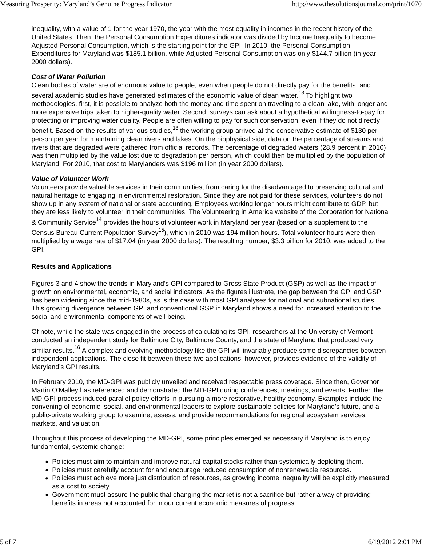inequality, with a value of 1 for the year 1970, the year with the most equality in incomes in the recent history of the United States. Then, the Personal Consumption Expenditures indicator was divided by Income Inequality to become Adjusted Personal Consumption, which is the starting point for the GPI. In 2010, the Personal Consumption Expenditures for Maryland was \$185.1 billion, while Adjusted Personal Consumption was only \$144.7 billion (in year 2000 dollars).

## *Cost of Water Pollution*

Clean bodies of water are of enormous value to people, even when people do not directly pay for the benefits, and several academic studies have generated estimates of the economic value of clean water.<sup>13</sup> To highlight two methodologies, first, it is possible to analyze both the money and time spent on traveling to a clean lake, with longer and more expensive trips taken to higher-quality water. Second, surveys can ask about a hypothetical willingness-to-pay for protecting or improving water quality. People are often willing to pay for such conservation, even if they do not directly

benefit. Based on the results of various studies,<sup>13</sup> the working group arrived at the conservative estimate of \$130 per person per year for maintaining clean rivers and lakes. On the biophysical side, data on the percentage of streams and rivers that are degraded were gathered from official records. The percentage of degraded waters (28.9 percent in 2010) was then multiplied by the value lost due to degradation per person, which could then be multiplied by the population of Maryland. For 2010, that cost to Marylanders was \$196 million (in year 2000 dollars).

## *Value of Volunteer Work*

Volunteers provide valuable services in their communities, from caring for the disadvantaged to preserving cultural and natural heritage to engaging in environmental restoration. Since they are not paid for these services, volunteers do not show up in any system of national or state accounting. Employees working longer hours might contribute to GDP, but they are less likely to volunteer in their communities. The Volunteering in America website of the Corporation for National

& Community Service<sup>14</sup> provides the hours of volunteer work in Maryland per year (based on a supplement to the

Census Bureau Current Population Survey<sup>15</sup>), which in 2010 was 194 million hours. Total volunteer hours were then multiplied by a wage rate of \$17.04 (in year 2000 dollars). The resulting number, \$3.3 billion for 2010, was added to the GPI.

## **Results and Applications**

Figures 3 and 4 show the trends in Maryland's GPI compared to Gross State Product (GSP) as well as the impact of growth on environmental, economic, and social indicators. As the figures illustrate, the gap between the GPI and GSP has been widening since the mid-1980s, as is the case with most GPI analyses for national and subnational studies. This growing divergence between GPI and conventional GSP in Maryland shows a need for increased attention to the social and environmental components of well-being.

Of note, while the state was engaged in the process of calculating its GPI, researchers at the University of Vermont conducted an independent study for Baltimore City, Baltimore County, and the state of Maryland that produced very similar results.<sup>16</sup> A complex and evolving methodology like the GPI will invariably produce some discrepancies between independent applications. The close fit between these two applications, however, provides evidence of the validity of Maryland's GPI results.

In February 2010, the MD-GPI was publicly unveiled and received respectable press coverage. Since then, Governor Martin O'Malley has referenced and demonstrated the MD-GPI during conferences, meetings, and events. Further, the MD-GPI process induced parallel policy efforts in pursuing a more restorative, healthy economy. Examples include the convening of economic, social, and environmental leaders to explore sustainable policies for Maryland's future, and a public-private working group to examine, assess, and provide recommendations for regional ecosystem services, markets, and valuation.

Throughout this process of developing the MD-GPI, some principles emerged as necessary if Maryland is to enjoy fundamental, systemic change:

- Policies must aim to maintain and improve natural-capital stocks rather than systemically depleting them.
- Policies must carefully account for and encourage reduced consumption of nonrenewable resources.
- Policies must achieve more just distribution of resources, as growing income inequality will be explicitly measured as a cost to society.
- Government must assure the public that changing the market is not a sacrifice but rather a way of providing benefits in areas not accounted for in our current economic measures of progress.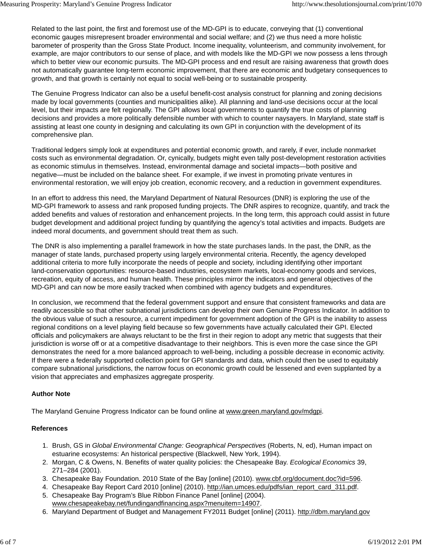Related to the last point, the first and foremost use of the MD-GPI is to educate, conveying that (1) conventional economic gauges misrepresent broader environmental and social welfare; and (2) we thus need a more holistic barometer of prosperity than the Gross State Product. Income inequality, volunteerism, and community involvement, for example, are major contributors to our sense of place, and with models like the MD-GPI we now possess a lens through which to better view our economic pursuits. The MD-GPI process and end result are raising awareness that growth does not automatically guarantee long-term economic improvement, that there are economic and budgetary consequences to growth, and that growth is certainly not equal to social well-being or to sustainable prosperity.

The Genuine Progress Indicator can also be a useful benefit-cost analysis construct for planning and zoning decisions made by local governments (counties and municipalities alike). All planning and land-use decisions occur at the local level, but their impacts are felt regionally. The GPI allows local governments to quantify the true costs of planning decisions and provides a more politically defensible number with which to counter naysayers. In Maryland, state staff is assisting at least one county in designing and calculating its own GPI in conjunction with the development of its comprehensive plan.

Traditional ledgers simply look at expenditures and potential economic growth, and rarely, if ever, include nonmarket costs such as environmental degradation. Or, cynically, budgets might even tally post-development restoration activities as economic stimulus in themselves. Instead, environmental damage and societal impacts—both positive and negative—must be included on the balance sheet. For example, if we invest in promoting private ventures in environmental restoration, we will enjoy job creation, economic recovery, and a reduction in government expenditures.

In an effort to address this need, the Maryland Department of Natural Resources (DNR) is exploring the use of the MD-GPI framework to assess and rank proposed funding projects. The DNR aspires to recognize, quantify, and track the added benefits and values of restoration and enhancement projects. In the long term, this approach could assist in future budget development and additional project funding by quantifying the agency's total activities and impacts. Budgets are indeed moral documents, and government should treat them as such.

The DNR is also implementing a parallel framework in how the state purchases lands. In the past, the DNR, as the manager of state lands, purchased property using largely environmental criteria. Recently, the agency developed additional criteria to more fully incorporate the needs of people and society, including identifying other important land-conservation opportunities: resource-based industries, ecosystem markets, local-economy goods and services, recreation, equity of access, and human health. These principles mirror the indicators and general objectives of the MD-GPI and can now be more easily tracked when combined with agency budgets and expenditures.

In conclusion, we recommend that the federal government support and ensure that consistent frameworks and data are readily accessible so that other subnational jurisdictions can develop their own Genuine Progress Indicator. In addition to the obvious value of such a resource, a current impediment for government adoption of the GPI is the inability to assess regional conditions on a level playing field because so few governments have actually calculated their GPI. Elected officials and policymakers are always reluctant to be the first in their region to adopt any metric that suggests that their jurisdiction is worse off or at a competitive disadvantage to their neighbors. This is even more the case since the GPI demonstrates the need for a more balanced approach to well-being, including a possible decrease in economic activity. If there were a federally supported collection point for GPI standards and data, which could then be used to equitably compare subnational jurisdictions, the narrow focus on economic growth could be lessened and even supplanted by a vision that appreciates and emphasizes aggregate prosperity.

# **Author Note**

The Maryland Genuine Progress Indicator can be found online at www.green.maryland.gov/mdgpi.

# **References**

- 1. Brush, GS in *Global Environmental Change: Geographical Perspectives* (Roberts, N, ed), Human impact on estuarine ecosystems: An historical perspective (Blackwell, New York, 1994).
- 2. Morgan, C & Owens, N. Benefits of water quality policies: the Chesapeake Bay. *Ecological Economics* 39, 271–284 (2001).
- 3. Chesapeake Bay Foundation. 2010 State of the Bay [online] (2010). www.cbf.org/document.doc?id=596.
- 4. Chesapeake Bay Report Card 2010 [online] (2010). http://ian.umces.edu/pdfs/ian\_report\_card\_311.pdf.
- 5. Chesapeake Bay Program's Blue Ribbon Finance Panel [online] (2004). www.chesapeakebay.net/fundingandfinancing.aspx?menuitem=14907.
- 6. Maryland Department of Budget and Management FY2011 Budget [online] (2011). http://dbm.maryland.gov